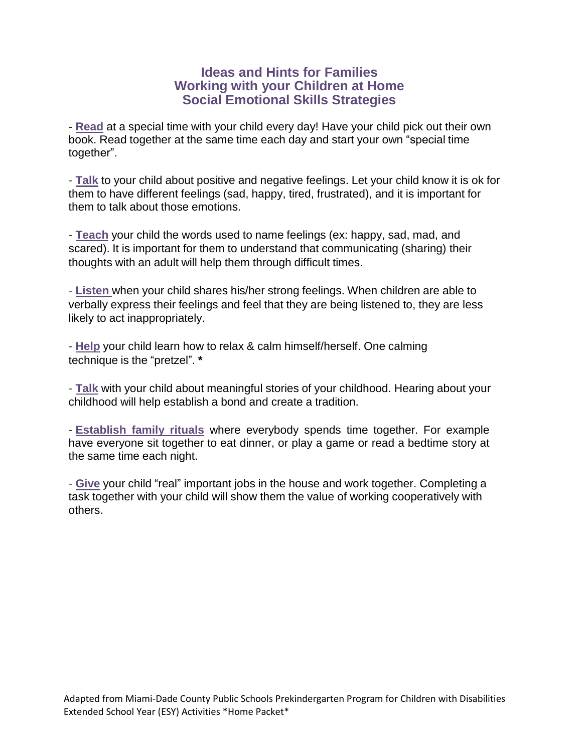## **Ideas and Hints for Families Working with your Children at Home Social Emotional Skills Strategies**

- **Read** at a special time with your child every day! Have your child pick out their own book. Read together at the same time each day and start your own "special time together".

- **Talk** to your child about positive and negative feelings. Let your child know it is ok for them to have different feelings (sad, happy, tired, frustrated), and it is important for them to talk about those emotions.

- **Teach** your child the words used to name feelings (ex: happy, sad, mad, and scared). It is important for them to understand that communicating (sharing) their thoughts with an adult will help them through difficult times.

- **Listen** when your child shares his/her strong feelings. When children are able to verbally express their feelings and feel that they are being listened to, they are less likely to act inappropriately.

- **Help** your child learn how to relax & calm himself/herself. One calming technique is the "pretzel". **\***

- **Talk** with your child about meaningful stories of your childhood. Hearing about your childhood will help establish a bond and create a tradition.

- **Establish family rituals** where everybody spends time together. For example have everyone sit together to eat dinner, or play a game or read a bedtime story at the same time each night.

- **Give** your child "real" important jobs in the house and work together. Completing a task together with your child will show them the value of working cooperatively with others.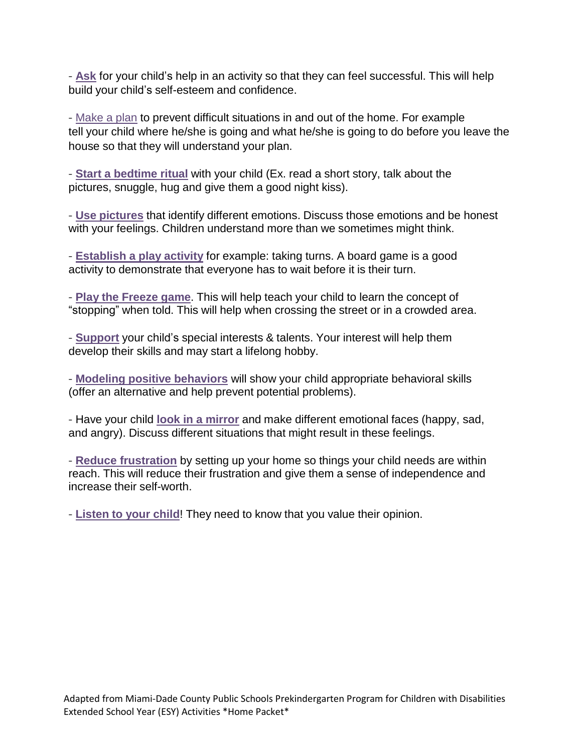- **Ask** for your child's help in an activity so that they can feel successful. This will help build your child's self-esteem and confidence.

- Make a plan to prevent difficult situations in and out of the home. For example tell your child where he/she is going and what he/she is going to do before you leave the house so that they will understand your plan.

- **Start a bedtime ritual** with your child (Ex. read a short story, talk about the pictures, snuggle, hug and give them a good night kiss).

- **Use pictures** that identify different emotions. Discuss those emotions and be honest with your feelings. Children understand more than we sometimes might think.

- **Establish a play activity** for example: taking turns. A board game is a good activity to demonstrate that everyone has to wait before it is their turn.

- **Play the Freeze game**. This will help teach your child to learn the concept of "stopping" when told. This will help when crossing the street or in a crowded area.

- **Support** your child's special interests & talents. Your interest will help them develop their skills and may start a lifelong hobby.

- **Modeling positive behaviors** will show your child appropriate behavioral skills (offer an alternative and help prevent potential problems).

- Have your child **look in a mirror** and make different emotional faces (happy, sad, and angry). Discuss different situations that might result in these feelings.

- **Reduce frustration** by setting up your home so things your child needs are within reach. This will reduce their frustration and give them a sense of independence and increase their self-worth.

- **Listen to your child**! They need to know that you value their opinion.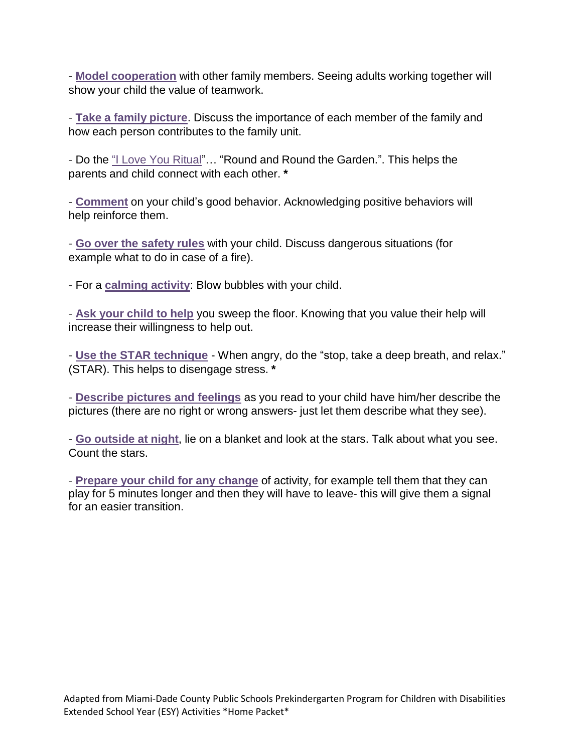- **Model cooperation** with other family members. Seeing adults working together will show your child the value of teamwork.

- **Take a family picture**. Discuss the importance of each member of the family and how each person contributes to the family unit.

- Do the "I Love You Ritual"… "Round and Round the Garden.". This helps the parents and child connect with each other. **\***

- **Comment** on your child's good behavior. Acknowledging positive behaviors will help reinforce them.

- **Go over the safety rules** with your child. Discuss dangerous situations (for example what to do in case of a fire).

- For a **calming activity**: Blow bubbles with your child.

- **Ask your child to help** you sweep the floor. Knowing that you value their help will increase their willingness to help out.

- **Use the STAR technique** - When angry, do the "stop, take a deep breath, and relax." (STAR). This helps to disengage stress. **\***

- **Describe pictures and feelings** as you read to your child have him/her describe the pictures (there are no right or wrong answers- just let them describe what they see).

- **Go outside at night**, lie on a blanket and look at the stars. Talk about what you see. Count the stars.

- **Prepare your child for any change** of activity, for example tell them that they can play for 5 minutes longer and then they will have to leave- this will give them a signal for an easier transition.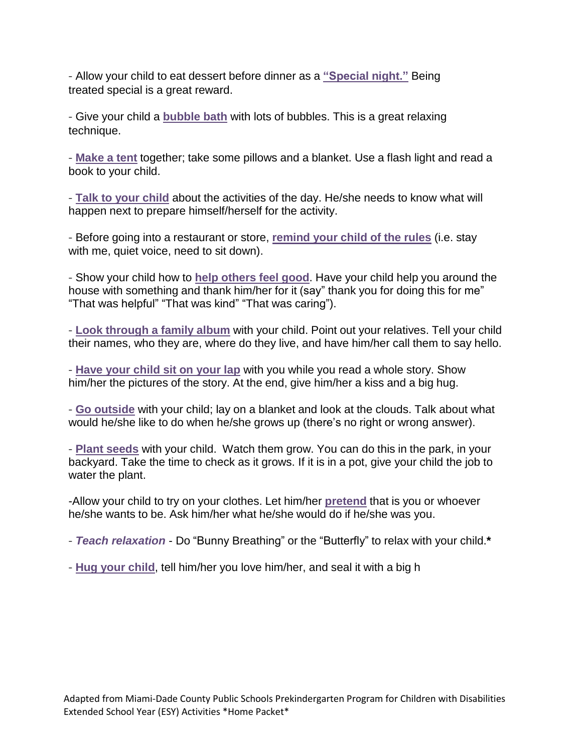- Allow your child to eat dessert before dinner as a **"Special night."** Being treated special is a great reward.

- Give your child a **bubble bath** with lots of bubbles. This is a great relaxing technique.

- **Make a tent** together; take some pillows and a blanket. Use a flash light and read a book to your child.

- **Talk to your child** about the activities of the day. He/she needs to know what will happen next to prepare himself/herself for the activity.

- Before going into a restaurant or store, **remind your child of the rules** (i.e. stay with me, quiet voice, need to sit down).

- Show your child how to **help others feel good**. Have your child help you around the house with something and thank him/her for it (say" thank you for doing this for me" "That was helpful" "That was kind" "That was caring").

- **Look through a family album** with your child. Point out your relatives. Tell your child their names, who they are, where do they live, and have him/her call them to say hello.

- **Have your child sit on your lap** with you while you read a whole story. Show him/her the pictures of the story. At the end, give him/her a kiss and a big hug.

- **Go outside** with your child; lay on a blanket and look at the clouds. Talk about what would he/she like to do when he/she grows up (there's no right or wrong answer).

- **Plant seeds** with your child. Watch them grow. You can do this in the park, in your backyard. Take the time to check as it grows. If it is in a pot, give your child the job to water the plant.

-Allow your child to try on your clothes. Let him/her **pretend** that is you or whoever he/she wants to be. Ask him/her what he/she would do if he/she was you.

- *Teach relaxation* Do "Bunny Breathing" or the "Butterfly" to relax with your child.**\***
- **Hug your child**, tell him/her you love him/her, and seal it with a big h